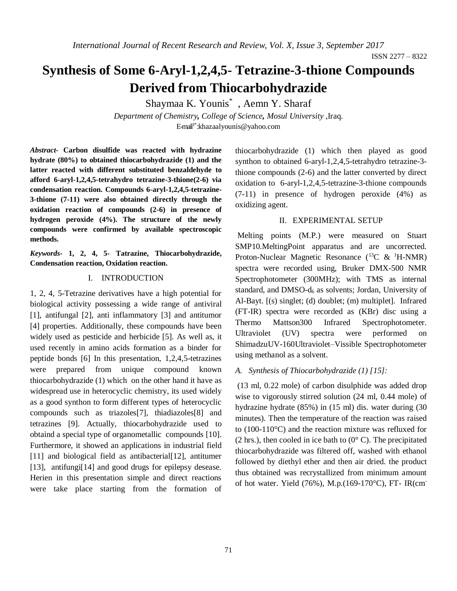*International Journal of Recent Research and Review, Vol. X, Issue 3, September 2017*

# **Synthesis of Some 6-Aryl-1,2,4,5- Tetrazine-3-thione Compounds Derived from Thiocarbohydrazide**

Shaymaa K. Younis\* , Aemn Y. Sharaf

*Department of Chemistry, College of Science, Mosul University* ,Iraq. E-mail<sup>1\*</sup>: khazaal younis@yahoo.com

*Abstract-* **Carbon disulfide was reacted with hydrazine hydrate (80%) to obtained thiocarbohydrazide (1) and the latter reacted with different substituted benzaldehyde to afford 6-aryl-1,2,4,5-tetrahydro tetrazine-3-thione(2-6) via condensation reaction. Compounds 6-aryl-1,2,4,5-tetrazine-3-thione (7-11) were also obtained directly through the oxidation reaction of compounds (2-6) in presence of hydrogen peroxide (4%). The structure of the newly compounds were confirmed by available spectroscopic methods.**

*Keywords***- 1, 2, 4, 5- Tatrazine, Thiocarbohydrazide, Condensation reaction, Oxidation reaction.** 

#### I. INTRODUCTION

1, 2, 4, 5-Tetrazine derivatives have a high potential for biological activity possessing a wide range of antiviral [1], antifungal [2], anti inflammatory [3] and antitumor [4] properties. Additionally, these compounds have been widely used as pesticide and herbicide [5]. As well as, it used recently in amino acids formation as a binder for peptide bonds [6] In this presentation, 1,2,4,5-tetrazines were prepared from unique compound known thiocarbohydrazide (1) which on the other hand it have as widespread use in heterocyclic chemistry, its used widely as a good synthon to form different types of heterocyclic compounds such as triazoles[7], thiadiazoles[8] and tetrazines [9]. Actually, thiocarbohydrazide used to obtaind a special type of organometallic compounds [10]. Furthermore, it showed an applications in industrial field [11] and biological field as antibacterial [12], antitumer [13], antifungi<sup>[14]</sup> and good drugs for epilepsy desease. Herien in this presentation simple and direct reactions were take place starting from the formation of thiocarbohydrazide (1) which then played as good synthon to obtained 6-aryl-1,2,4,5-tetrahydro tetrazine-3 thione compounds (2-6) and the latter converted by direct oxidation to 6-aryl-1,2,4,5-tetrazine-3-thione compounds (7-11) in presence of hydrogen peroxide (4%) as oxidizing agent.

### II. EXPERIMENTAL SETUP

Melting points (M.P.) were measured on Stuart SMP10.MeltingPoint apparatus and are uncorrected. Proton-Nuclear Magnetic Resonance  $(^{13}C \& ^{1}H\text{-NMR})$ spectra were recorded using, Bruker DMX-500 NMR Spectrophotometer (300MHz); with TMS as internal standard, and  $DMSO-d<sub>6</sub>$  as solvents; Jordan, University of Al-Bayt. [(s) singlet; (d) doublet; (m) multiplet]. Infrared (FT-IR) spectra were recorded as (KBr) disc using a Thermo Mattson300 Infrared Spectrophotometer. Ultraviolet (UV) spectra were performed on ShimadzuUV-160Ultraviolet–Vissible Spectrophotometer using methanol as a solvent.

## *A. Synthesis of Thiocarbohydrazide (1) [15]:*

(13 ml, 0.22 mole) of carbon disulphide was added drop wise to vigorously stirred solution (24 ml, 0.44 mole) of hydrazine hydrate (85%) in (15 ml) dis. water during (30 minutes). Then the temperature of the reaction was raised to (100-110°C) and the reaction mixture was refluxed for (2 hrs.), then cooled in ice bath to  $(0^{\circ} \text{ C})$ . The precipitated thiocarbohydrazide was filtered off, washed with ethanol followed by diethyl ether and then air dried. the product thus obtained was recrystallized from minimum amount of hot water. Yield (76%), M.p.(169-170°C), FT- IR(cm-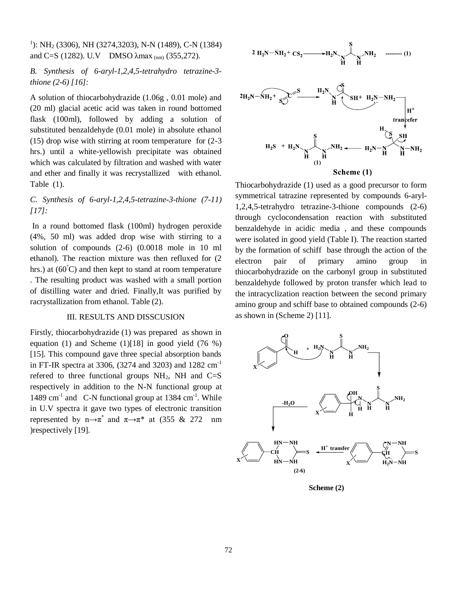## 1 ): NH<sup>2</sup> (3306), NH (3274,3203), N-N (1489), C-N (1384) and C=S (1282). U.V DMSO λmax<sub>(nm)</sub> (355,272).

## *B. Synthesis of 6-aryl-1,2,4,5-tetrahydro tetrazine-3 thione (2-6) [16]:*

A solution of thiocarbohydrazide (1.06g , 0.01 mole) and (20 ml) glacial acetic acid was taken in round bottomed flask (100ml), followed by adding a solution of substituted benzaldehyde (0.01 mole) in absolute ethanol (15) drop wise with stirring at room temperature for (2-3 hrs.) until a white-yellowish precipitate was obtained which was calculated by filtration and washed with water and ether and finally it was recrystallized with ethanol. Table (1).

## *C. Synthesis of 6-aryl-1,2,4,5-tetrazine-3-thione (7-11) [17]:*

In a round bottomed flask (100ml) hydrogen peroxide (4%, 50 ml) was added drop wise with stirring to a solution of compounds (2-6) (0.0018 mole in 10 ml ethanol). The reaction mixture was then refluxed for (2 hrs.) at  $(60^{\circ}$ C) and then kept to stand at room temperature . The resulting product was washed with a small portion of distilling water and dried. Finally,It was purified by racrystallization from ethanol. Table (2).

#### III. RESULTS AND DISSCUSION

Firstly, thiocarbohydrazide (1) was prepared as shown in equation (1) and Scheme  $(1)$ [18] in good yield (76 %) [15]. This compound gave three special absorption bands in FT-IR spectra at 3306, (3274 and 3203) and 1282 cm-1 refered to three functional groups  $NH<sub>2</sub>$ , NH and C=S respectively in addition to the N-N functional group at 1489 cm<sup>-1</sup> and C-N functional group at 1384 cm<sup>-1</sup>. While in U.V spectra it gave two types of electronic transition represented by n $\rightarrow \pi^*$  and  $\pi \rightarrow \pi^*$  at (355 & 272 nm) )respectively [19].





Thiocarbohydrazide (1) used as a good precursor to form symmetrical tatrazine represented by compounds 6-aryl-1,2,4,5-tetrahydro tetrazine-3-thione compounds (2-6) through cyclocondensation reaction with substituted benzaldehyde in acidic media , and these compounds were isolated in good yield (Table I). The reaction started by the formation of schiff base through the action of the electron pair of primary amino group in thiocarbohydrazide on the carbonyl group in substituted benzaldehyde followed by proton transfer which lead to the intracyclization reaction between the second primary amino group and schiff base to obtained compounds (2-6) as shown in (Scheme 2) [11].



**Scheme (2)**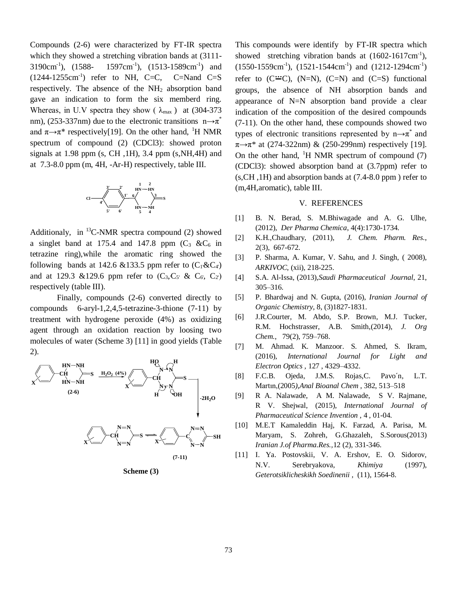Compounds (2-6) were characterized by FT-IR spectra which they showed a stretching vibration bands at (3111-  $3190 \text{cm}^{-1}$ ). (1588-),  $(1588 - 1597 \text{cm}^{-1})$ ,  $(1513 - 1589 \text{cm}^{-1})$  and  $(1244-1255cm^{-1})$  refer to NH, C=C, C=Nand C=S respectively. The absence of the NH<sup>2</sup> absorption band gave an indication to form the six memberd ring. Whereas, in U.V spectra they show ( $\lambda_{\text{max}}$ ) at (304-373 nm), (253-337nm) due to the electronic transitions  $n \rightarrow \pi^*$ and  $\pi \rightarrow \pi^*$  respectively[19]. On the other hand, <sup>1</sup>H NMR spectrum of compound (2) (CDCl3): showed proton signals at  $1.98$  ppm (s, CH, 1H), 3.4 ppm (s, NH, 4H) and at 7.3-8.0 ppm (m, 4H, -Ar-H) respectively, table III.



Additionaly, in  ${}^{13}$ C-NMR spectra compound (2) showed a singlet band at 175.4 and 147.8 ppm  $(C_3 \& C_6)$  in tetrazine ring),while the aromatic ring showed the following bands at 142.6 &133.5 ppm refer to  $(C_1 \& C_4)$ and at 129.3 &129.6 ppm refer to  $(C_3, C_5 \& C_6, C_2)$ respectively (table III).

Finally, compounds (2-6) converted directly to compounds 6-aryl-1,2,4,5-tetrazine-3-thione (7-11) by treatment with hydrogene peroxide (4%) as oxidizing agent through an oxidation reaction by loosing two molecules of water (Scheme 3) [11] in good yields (Table 2).



**Scheme (3)**

This compounds were identify by FT-IR spectra which showed stretching vibration bands at  $(1602-1617 \text{cm}^{-1})$ ,  $(1550-1559cm^{-1})$ ,  $(1521-1544cm^{-1})$  and  $(1212-1294cm^{-1})$ refer to  $(C^{\prime\prime\prime}C)$ ,  $(N=N)$ ,  $(C=N)$  and  $(C=S)$  functional groups, the absence of NH absorption bands and appearance of N=N absorption band provide a clear indication of the composition of the desired compounds (7-11). On the other hand, these compounds showed two types of electronic transitions represented by  $n \rightarrow \pi^*$  and  $\pi \rightarrow \pi^*$  at (274-322nm) & (250-299nm) respectively [19]. On the other hand,  $\mathrm{H}$  NMR spectrum of compound (7) (CDCl3): showed absorption band at (3.7ppm) refer to (s,CH ,1H) and absorption bands at (7.4-8.0 ppm ) refer to (m,4H,aromatic), table III.

#### V. REFERENCES

- [1] B. N. Berad, S. M.Bhiwagade and A. G. Ulhe, (2012), *Der Pharma Chemica*, 4(4):1730-1734.
- [2] K.H.,Chaudhary, (2011), *J. Chem. Pharm. Res.*, 2(3), 667-672.
- [3] P. Sharma, A. Kumar, V. Sahu, and J. Singh, ( 2008), *ARKIVOC*, (xii), 218-225.
- [4] S.A. Al-Issa, (2013),*Saudi Pharmaceutical Journal*, 21, 305–316.
- [5] P. Bhardwaj and N. Gupta, (2016), *Iranian Journal of Organic Chemistry*, 8, (3)1827-1831.
- [6] J.R.Courter, M. Abdo, S.P. Brown, M.J. Tucker, R.M. Hochstrasser, A.B. Smith,(2014), *J. Org Chem.*, 79(2), 759–768.
- [7] M. Ahmad. K. Manzoor. S. Ahmed, S. Ikram, (2016), *International Journal for Light and Electron Optics ,* 127 , 4329–4332.
- [8] F.C.B. Ojeda, J.M.S. Rojas,C. Pavo´n, L.T. Martın,(2005*)*,*Anal Bioanal Chem* , 382, 513–518
- [9] R A. Nalawade, A M. Nalawade, S V. Rajmane, R V. Shejwal, (2015), *International Journal of Pharmaceutical Science Invention* , 4 , 01-04.
- [10] M.E.T Kamaleddin Haj, K. Farzad, A. Parisa, M. Maryam, S. Zohreh, G.Ghazaleh, S.Sorous(2013) *Iranian J.of Pharma.Res.,*12 (2), 331-346.
- [11] I. Ya. Postovskii, V. A. Ershov, E. O. Sidorov, N.V. Serebryakova, *Khimiya* (1997), *Geterotsiklicheskikh Soedinenii ,* (11), 1564-8.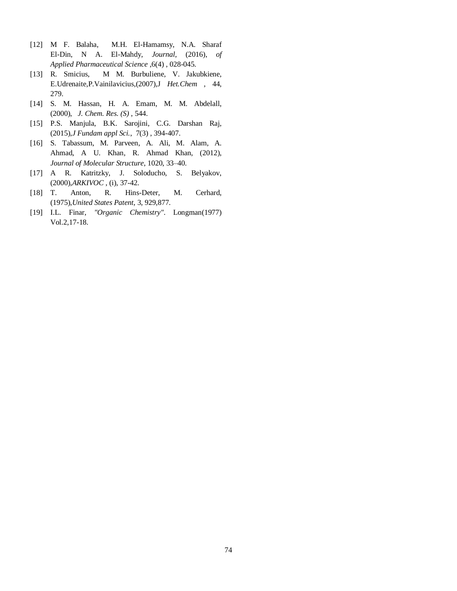- [12] M F. Balaha, M.H. El-Hamamsy, N.A. Sharaf El-Din, N A. El-Mahdy, *Journal*, (2016), *of Applied Pharmaceutical Science* ,6(4) , 028-045.
- [13] R. Smicius, M M. Burbuliene, V. Jakubkiene, E.Udrenaite,P.Vainilavicius,(2007),J *Het.Chem* , 44, 279.
- [14] S. M. Hassan, H. A. Emam, M. M. Abdelall, (2000), *J. Chem. Res. (S)* , 544.
- [15] P.S. Manjula, B.K. Sarojini, C.G. Darshan Raj, (2015),*J Fundam appl Sci.*, 7(3) , 394-407.
- [16] S. Tabassum, M. Parveen, A. Ali, M. Alam, A. Ahmad, A U. Khan, R. Ahmad Khan, (2012), *Journal of Molecular Structure*, 1020, 33–40.
- [17] A R. Katritzky, J. Soloducho, S. Belyakov, (2000),*ARKIVOC* , (i), 37-42.
- [18] T. Anton, R. Hins-Deter, M. Cerhard, (1975),*United States Patent*, 3, 929,877.
- [19] I.L. Finar, *"Organic Chemistry"*. Longman(1977) Vol.2,17-18.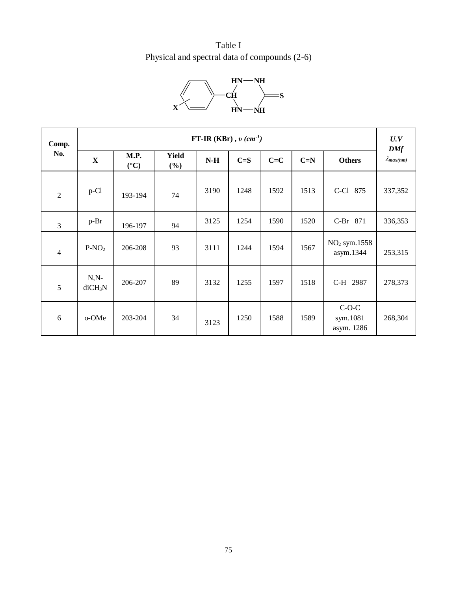Table I Physical and spectral data of compounds (2-6)



| Comp.<br>No.   | FT-IR (KBr), $v$ (cm <sup>-1</sup> ) |                               |                     |       |         |         |       |                                   |                                   |
|----------------|--------------------------------------|-------------------------------|---------------------|-------|---------|---------|-------|-----------------------------------|-----------------------------------|
|                | $\mathbf X$                          | M.P.<br>$({}^{\circ}{\rm C})$ | <b>Yield</b><br>(%) | $N-H$ | $C = S$ | $C = C$ | $C=N$ | <b>Others</b>                     | <b>DMf</b><br>$\lambda_{max(nm)}$ |
| $\overline{2}$ | p-Cl                                 | 193-194                       | 74                  | 3190  | 1248    | 1592    | 1513  | C-Cl 875                          | 337,352                           |
| 3              | $p-Br$                               | 196-197                       | 94                  | 3125  | 1254    | 1590    | 1520  | C-Br 871                          | 336,353                           |
| $\overline{4}$ | $P-NO2$                              | 206-208                       | 93                  | 3111  | 1244    | 1594    | 1567  | $NO2$ sym.1558<br>asym.1344       | 253,315                           |
| 5              | $N, N-$<br>diCH <sub>3</sub> N       | 206-207                       | 89                  | 3132  | 1255    | 1597    | 1518  | C-H 2987                          | 278,373                           |
| 6              | o-OMe                                | 203-204                       | 34                  | 3123  | 1250    | 1588    | 1589  | $C-O-C$<br>sym.1081<br>asym. 1286 | 268,304                           |